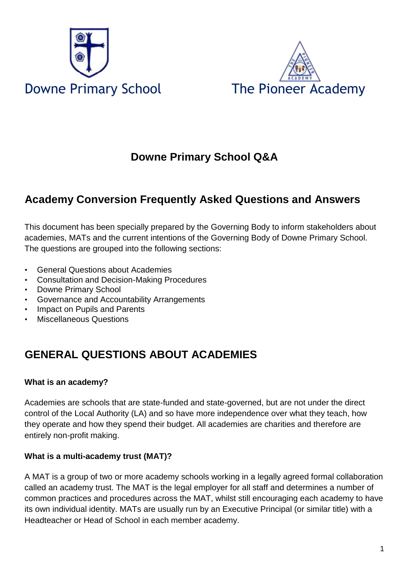



# **Downe Primary School Q&A**

# **Academy Conversion Frequently Asked Questions and Answers**

This document has been specially prepared by the Governing Body to inform stakeholders about academies, MATs and the current intentions of the Governing Body of Downe Primary School. The questions are grouped into the following sections:

- General Questions about Academies
- Consultation and Decision-Making Procedures
- Downe Primary School
- Governance and Accountability Arrangements
- Impact on Pupils and Parents
- Miscellaneous Questions

# **GENERAL QUESTIONS ABOUT ACADEMIES**

# **What is an academy?**

Academies are schools that are state-funded and state-governed, but are not under the direct control of the Local Authority (LA) and so have more independence over what they teach, how they operate and how they spend their budget. All academies are charities and therefore are entirely non-profit making.

# **What is a multi-academy trust (MAT)?**

A MAT is a group of two or more academy schools working in a legally agreed formal collaboration called an academy trust. The MAT is the legal employer for all staff and determines a number of common practices and procedures across the MAT, whilst still encouraging each academy to have its own individual identity. MATs are usually run by an Executive Principal (or similar title) with a Headteacher or Head of School in each member academy.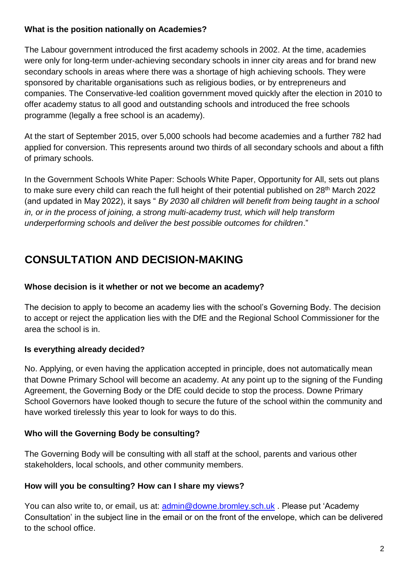### **What is the position nationally on Academies?**

The Labour government introduced the first academy schools in 2002. At the time, academies were only for long-term under-achieving secondary schools in inner city areas and for brand new secondary schools in areas where there was a shortage of high achieving schools. They were sponsored by charitable organisations such as religious bodies, or by entrepreneurs and companies. The Conservative-led coalition government moved quickly after the election in 2010 to offer academy status to all good and outstanding schools and introduced the free schools programme (legally a free school is an academy).

At the start of September 2015, over 5,000 schools had become academies and a further 782 had applied for conversion. This represents around two thirds of all secondary schools and about a fifth of primary schools.

In the Government Schools White Paper: Schools White Paper, Opportunity for All, sets out plans to make sure every child can reach the full height of their potential published on 28<sup>th</sup> March 2022 (and updated in May 2022), it says " *By 2030 all children will benefit from being taught in a school in, or in the process of joining, a strong multi-academy trust, which will help transform underperforming schools and deliver the best possible outcomes for children*."

# **CONSULTATION AND DECISION-MAKING**

### **Whose decision is it whether or not we become an academy?**

The decision to apply to become an academy lies with the school's Governing Body. The decision to accept or reject the application lies with the DfE and the Regional School Commissioner for the area the school is in.

# **Is everything already decided?**

No. Applying, or even having the application accepted in principle, does not automatically mean that Downe Primary School will become an academy. At any point up to the signing of the Funding Agreement, the Governing Body or the DfE could decide to stop the process. Downe Primary School Governors have looked though to secure the future of the school within the community and have worked tirelessly this year to look for ways to do this.

# **Who will the Governing Body be consulting?**

The Governing Body will be consulting with all staff at the school, parents and various other stakeholders, local schools, and other community members.

# **How will you be consulting? How can I share my views?**

You can also write to, or email, us at: [admin@downe.bromley.sch.uk](mailto:admin@downe.bromley.sch.uk) . Please put 'Academy Consultation' in the subject line in the email or on the front of the envelope, which can be delivered to the school office.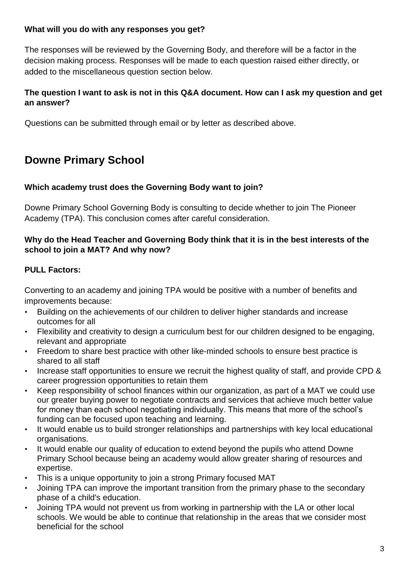### **What will you do with any responses you get?**

The responses will be reviewed by the Governing Body, and therefore will be a factor in the decision making process. Responses will be made to each question raised either directly, or added to the miscellaneous question section below.

### **The question I want to ask is not in this Q&A document. How can I ask my question and get an answer?**

Questions can be submitted through email or by letter as described above.

# **Downe Primary School**

### **Which academy trust does the Governing Body want to join?**

Downe Primary School Governing Body is consulting to decide whether to join The Pioneer Academy (TPA). This conclusion comes after careful consideration.

#### **Why do the Head Teacher and Governing Body think that it is in the best interests of the school to join a MAT? And why now?**

# **PULL Factors:**

Converting to an academy and joining TPA would be positive with a number of benefits and improvements because:

- Building on the achievements of our children to deliver higher standards and increase outcomes for all
- Flexibility and creativity to design a curriculum best for our children designed to be engaging, relevant and appropriate
- Freedom to share best practice with other like-minded schools to ensure best practice is shared to all staff
- Increase staff opportunities to ensure we recruit the highest quality of staff, and provide CPD & career progression opportunities to retain them
- Keep responsibility of school finances within our organization, as part of a MAT we could use our greater buying power to negotiate contracts and services that achieve much better value for money than each school negotiating individually. This means that more of the school's funding can be focused upon teaching and learning.
- It would enable us to build stronger relationships and partnerships with key local educational organisations.
- It would enable our quality of education to extend beyond the pupils who attend Downe Primary School because being an academy would allow greater sharing of resources and expertise.
- This is a unique opportunity to join a strong Primary focused MAT
- Joining TPA can improve the important transition from the primary phase to the secondary phase of a child's education.
- Joining TPA would not prevent us from working in partnership with the LA or other local schools. We would be able to continue that relationship in the areas that we consider most beneficial for the school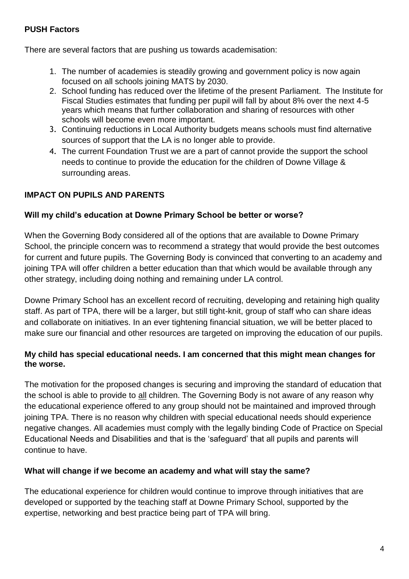### **PUSH Factors**

There are several factors that are pushing us towards academisation:

- 1. The number of academies is steadily growing and government policy is now again focused on all schools joining MATS by 2030.
- 2. School funding has reduced over the lifetime of the present Parliament. The Institute for Fiscal Studies estimates that funding per pupil will fall by about 8% over the next 4-5 years which means that further collaboration and sharing of resources with other schools will become even more important.
- 3. Continuing reductions in Local Authority budgets means schools must find alternative sources of support that the LA is no longer able to provide.
- 4. The current Foundation Trust we are a part of cannot provide the support the school needs to continue to provide the education for the children of Downe Village & surrounding areas.

# **IMPACT ON PUPILS AND PARENTS**

### **Will my child's education at Downe Primary School be better or worse?**

When the Governing Body considered all of the options that are available to Downe Primary School, the principle concern was to recommend a strategy that would provide the best outcomes for current and future pupils. The Governing Body is convinced that converting to an academy and joining TPA will offer children a better education than that which would be available through any other strategy, including doing nothing and remaining under LA control.

Downe Primary School has an excellent record of recruiting, developing and retaining high quality staff. As part of TPA, there will be a larger, but still tight-knit, group of staff who can share ideas and collaborate on initiatives. In an ever tightening financial situation, we will be better placed to make sure our financial and other resources are targeted on improving the education of our pupils.

### **My child has special educational needs. I am concerned that this might mean changes for the worse.**

The motivation for the proposed changes is securing and improving the standard of education that the school is able to provide to all children. The Governing Body is not aware of any reason why the educational experience offered to any group should not be maintained and improved through joining TPA. There is no reason why children with special educational needs should experience negative changes. All academies must comply with the legally binding Code of Practice on Special Educational Needs and Disabilities and that is the 'safeguard' that all pupils and parents will continue to have.

#### **What will change if we become an academy and what will stay the same?**

The educational experience for children would continue to improve through initiatives that are developed or supported by the teaching staff at Downe Primary School, supported by the expertise, networking and best practice being part of TPA will bring.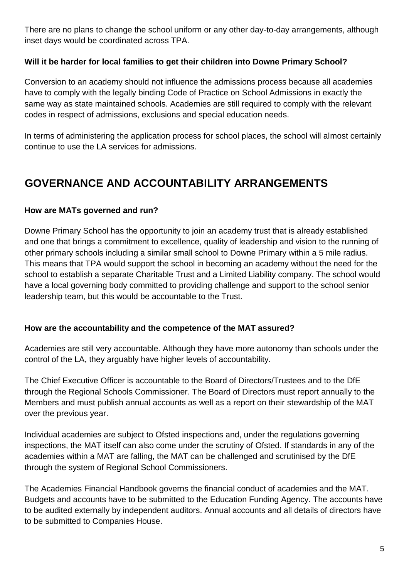There are no plans to change the school uniform or any other day-to-day arrangements, although inset days would be coordinated across TPA.

# **Will it be harder for local families to get their children into Downe Primary School?**

Conversion to an academy should not influence the admissions process because all academies have to comply with the legally binding Code of Practice on School Admissions in exactly the same way as state maintained schools. Academies are still required to comply with the relevant codes in respect of admissions, exclusions and special education needs.

In terms of administering the application process for school places, the school will almost certainly continue to use the LA services for admissions.

# **GOVERNANCE AND ACCOUNTABILITY ARRANGEMENTS**

### **How are MATs governed and run?**

Downe Primary School has the opportunity to join an academy trust that is already established and one that brings a commitment to excellence, quality of leadership and vision to the running of other primary schools including a similar small school to Downe Primary within a 5 mile radius. This means that TPA would support the school in becoming an academy without the need for the school to establish a separate Charitable Trust and a Limited Liability company. The school would have a local governing body committed to providing challenge and support to the school senior leadership team, but this would be accountable to the Trust.

#### **How are the accountability and the competence of the MAT assured?**

Academies are still very accountable. Although they have more autonomy than schools under the control of the LA, they arguably have higher levels of accountability.

The Chief Executive Officer is accountable to the Board of Directors/Trustees and to the DfE through the Regional Schools Commissioner. The Board of Directors must report annually to the Members and must publish annual accounts as well as a report on their stewardship of the MAT over the previous year.

Individual academies are subject to Ofsted inspections and, under the regulations governing inspections, the MAT itself can also come under the scrutiny of Ofsted. If standards in any of the academies within a MAT are falling, the MAT can be challenged and scrutinised by the DfE through the system of Regional School Commissioners.

The Academies Financial Handbook governs the financial conduct of academies and the MAT. Budgets and accounts have to be submitted to the Education Funding Agency. The accounts have to be audited externally by independent auditors. Annual accounts and all details of directors have to be submitted to Companies House.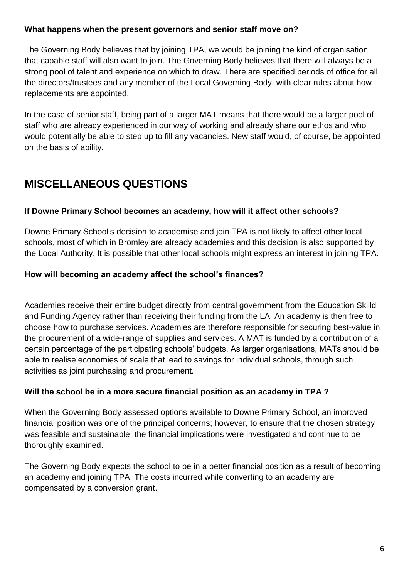#### **What happens when the present governors and senior staff move on?**

The Governing Body believes that by joining TPA, we would be joining the kind of organisation that capable staff will also want to join. The Governing Body believes that there will always be a strong pool of talent and experience on which to draw. There are specified periods of office for all the directors/trustees and any member of the Local Governing Body, with clear rules about how replacements are appointed.

In the case of senior staff, being part of a larger MAT means that there would be a larger pool of staff who are already experienced in our way of working and already share our ethos and who would potentially be able to step up to fill any vacancies. New staff would, of course, be appointed on the basis of ability.

# **MISCELLANEOUS QUESTIONS**

# **If Downe Primary School becomes an academy, how will it affect other schools?**

Downe Primary School's decision to academise and join TPA is not likely to affect other local schools, most of which in Bromley are already academies and this decision is also supported by the Local Authority. It is possible that other local schools might express an interest in joining TPA.

### **How will becoming an academy affect the school's finances?**

Academies receive their entire budget directly from central government from the Education Skilld and Funding Agency rather than receiving their funding from the LA. An academy is then free to choose how to purchase services. Academies are therefore responsible for securing best-value in the procurement of a wide-range of supplies and services. A MAT is funded by a contribution of a certain percentage of the participating schools' budgets. As larger organisations, MATs should be able to realise economies of scale that lead to savings for individual schools, through such activities as joint purchasing and procurement.

#### **Will the school be in a more secure financial position as an academy in TPA ?**

When the Governing Body assessed options available to Downe Primary School, an improved financial position was one of the principal concerns; however, to ensure that the chosen strategy was feasible and sustainable, the financial implications were investigated and continue to be thoroughly examined.

The Governing Body expects the school to be in a better financial position as a result of becoming an academy and joining TPA. The costs incurred while converting to an academy are compensated by a conversion grant.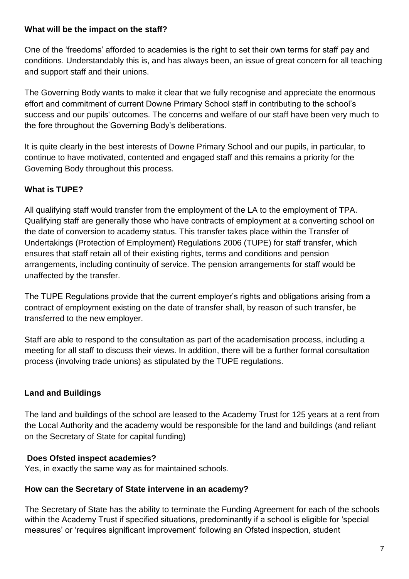#### **What will be the impact on the staff?**

One of the 'freedoms' afforded to academies is the right to set their own terms for staff pay and conditions. Understandably this is, and has always been, an issue of great concern for all teaching and support staff and their unions.

The Governing Body wants to make it clear that we fully recognise and appreciate the enormous effort and commitment of current Downe Primary School staff in contributing to the school's success and our pupils' outcomes. The concerns and welfare of our staff have been very much to the fore throughout the Governing Body's deliberations.

It is quite clearly in the best interests of Downe Primary School and our pupils, in particular, to continue to have motivated, contented and engaged staff and this remains a priority for the Governing Body throughout this process.

# **What is TUPE?**

All qualifying staff would transfer from the employment of the LA to the employment of TPA. Qualifying staff are generally those who have contracts of employment at a converting school on the date of conversion to academy status. This transfer takes place within the Transfer of Undertakings (Protection of Employment) Regulations 2006 (TUPE) for staff transfer, which ensures that staff retain all of their existing rights, terms and conditions and pension arrangements, including continuity of service. The pension arrangements for staff would be unaffected by the transfer.

The TUPE Regulations provide that the current employer's rights and obligations arising from a contract of employment existing on the date of transfer shall, by reason of such transfer, be transferred to the new employer.

Staff are able to respond to the consultation as part of the academisation process, including a meeting for all staff to discuss their views. In addition, there will be a further formal consultation process (involving trade unions) as stipulated by the TUPE regulations.

# **Land and Buildings**

The land and buildings of the school are leased to the Academy Trust for 125 years at a rent from the Local Authority and the academy would be responsible for the land and buildings (and reliant on the Secretary of State for capital funding)

# **Does Ofsted inspect academies?**

Yes, in exactly the same way as for maintained schools.

# **How can the Secretary of State intervene in an academy?**

The Secretary of State has the ability to terminate the Funding Agreement for each of the schools within the Academy Trust if specified situations, predominantly if a school is eligible for 'special measures' or 'requires significant improvement' following an Ofsted inspection, student